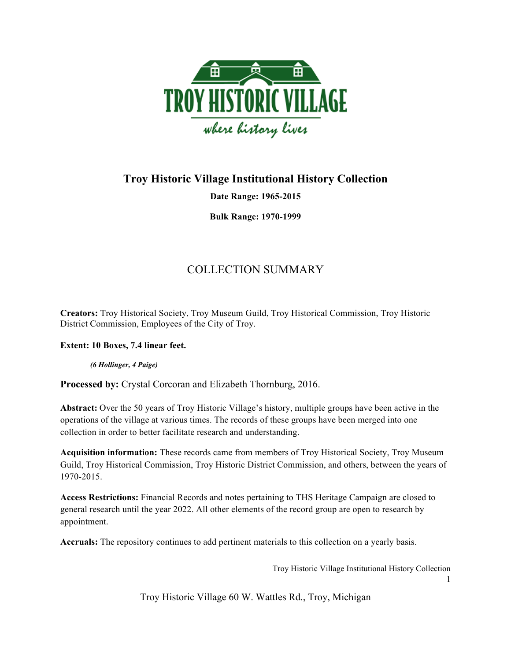

## **Troy Historic Village Institutional History Collection**

**Date Range: 1965-2015**

**Bulk Range: 1970-1999**

# COLLECTION SUMMARY

**Creators:** Troy Historical Society, Troy Museum Guild, Troy Historical Commission, Troy Historic District Commission, Employees of the City of Troy.

**Extent: 10 Boxes, 7.4 linear feet.**

*(6 Hollinger, 4 Paige)*

**Processed by:** Crystal Corcoran and Elizabeth Thornburg, 2016.

**Abstract:** Over the 50 years of Troy Historic Village's history, multiple groups have been active in the operations of the village at various times. The records of these groups have been merged into one collection in order to better facilitate research and understanding.

**Acquisition information:** These records came from members of Troy Historical Society, Troy Museum Guild, Troy Historical Commission, Troy Historic District Commission, and others, between the years of 1970-2015.

**Access Restrictions:** Financial Records and notes pertaining to THS Heritage Campaign are closed to general research until the year 2022. All other elements of the record group are open to research by appointment.

**Accruals:** The repository continues to add pertinent materials to this collection on a yearly basis.

Troy Historic Village Institutional History Collection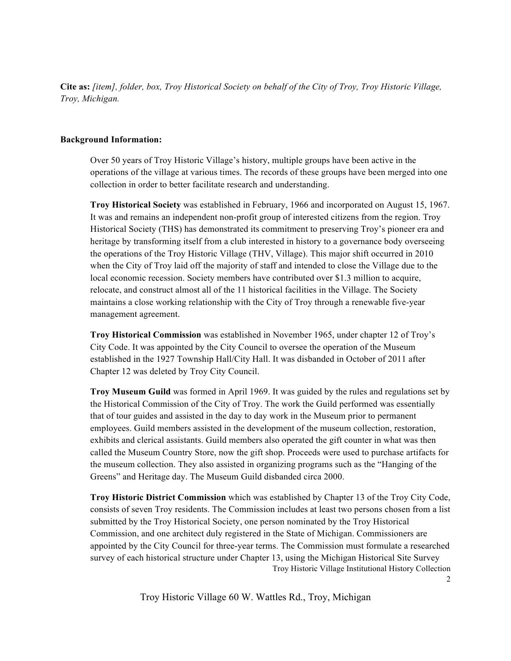**Cite as:** *[item], folder, box, Troy Historical Society on behalf of the City of Troy, Troy Historic Village, Troy, Michigan.* 

### **Background Information:**

Over 50 years of Troy Historic Village's history, multiple groups have been active in the operations of the village at various times. The records of these groups have been merged into one collection in order to better facilitate research and understanding.

**Troy Historical Society** was established in February, 1966 and incorporated on August 15, 1967. It was and remains an independent non-profit group of interested citizens from the region. Troy Historical Society (THS) has demonstrated its commitment to preserving Troy's pioneer era and heritage by transforming itself from a club interested in history to a governance body overseeing the operations of the Troy Historic Village (THV, Village). This major shift occurred in 2010 when the City of Troy laid off the majority of staff and intended to close the Village due to the local economic recession. Society members have contributed over \$1.3 million to acquire, relocate, and construct almost all of the 11 historical facilities in the Village. The Society maintains a close working relationship with the City of Troy through a renewable five-year management agreement.

**Troy Historical Commission** was established in November 1965, under chapter 12 of Troy's City Code. It was appointed by the City Council to oversee the operation of the Museum established in the 1927 Township Hall/City Hall. It was disbanded in October of 2011 after Chapter 12 was deleted by Troy City Council.

**Troy Museum Guild** was formed in April 1969. It was guided by the rules and regulations set by the Historical Commission of the City of Troy. The work the Guild performed was essentially that of tour guides and assisted in the day to day work in the Museum prior to permanent employees. Guild members assisted in the development of the museum collection, restoration, exhibits and clerical assistants. Guild members also operated the gift counter in what was then called the Museum Country Store, now the gift shop. Proceeds were used to purchase artifacts for the museum collection. They also assisted in organizing programs such as the "Hanging of the Greens" and Heritage day. The Museum Guild disbanded circa 2000.

Troy Historic Village Institutional History Collection **Troy Historic District Commission** which was established by Chapter 13 of the Troy City Code, consists of seven Troy residents. The Commission includes at least two persons chosen from a list submitted by the Troy Historical Society, one person nominated by the Troy Historical Commission, and one architect duly registered in the State of Michigan. Commissioners are appointed by the City Council for three-year terms. The Commission must formulate a researched survey of each historical structure under Chapter 13, using the Michigan Historical Site Survey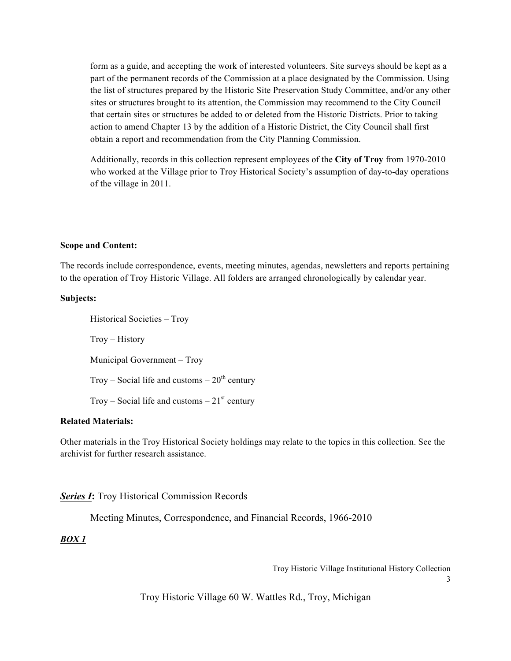form as a guide, and accepting the work of interested volunteers. Site surveys should be kept as a part of the permanent records of the Commission at a place designated by the Commission. Using the list of structures prepared by the Historic Site Preservation Study Committee, and/or any other sites or structures brought to its attention, the Commission may recommend to the City Council that certain sites or structures be added to or deleted from the Historic Districts. Prior to taking action to amend Chapter 13 by the addition of a Historic District, the City Council shall first obtain a report and recommendation from the City Planning Commission.

Additionally, records in this collection represent employees of the **City of Troy** from 1970-2010 who worked at the Village prior to Troy Historical Society's assumption of day-to-day operations of the village in 2011.

#### **Scope and Content:**

The records include correspondence, events, meeting minutes, agendas, newsletters and reports pertaining to the operation of Troy Historic Village. All folders are arranged chronologically by calendar year.

#### **Subjects:**

Historical Societies – Troy Troy – History Municipal Government – Troy Troy – Social life and customs –  $20<sup>th</sup>$  century Troy – Social life and customs –  $21<sup>st</sup>$  century

#### **Related Materials:**

Other materials in the Troy Historical Society holdings may relate to the topics in this collection. See the archivist for further research assistance.

#### *Series I***:** Troy Historical Commission Records

Meeting Minutes, Correspondence, and Financial Records, 1966-2010

#### *BOX 1*

Troy Historic Village Institutional History Collection

3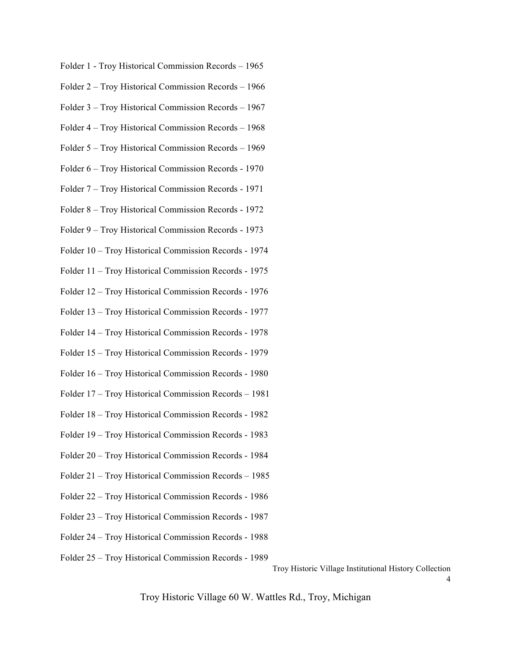- Folder 1 Troy Historical Commission Records 1965
- Folder 2 Troy Historical Commission Records 1966
- Folder 3 Troy Historical Commission Records 1967
- Folder 4 Troy Historical Commission Records 1968
- Folder 5 Troy Historical Commission Records 1969
- Folder 6 Troy Historical Commission Records 1970
- Folder 7 Troy Historical Commission Records 1971
- Folder 8 Troy Historical Commission Records 1972
- Folder 9 Troy Historical Commission Records 1973
- Folder 10 Troy Historical Commission Records 1974
- Folder 11 Troy Historical Commission Records 1975
- Folder 12 Troy Historical Commission Records 1976
- Folder 13 Troy Historical Commission Records 1977
- Folder 14 Troy Historical Commission Records 1978
- Folder 15 Troy Historical Commission Records 1979
- Folder 16 Troy Historical Commission Records 1980
- Folder 17 Troy Historical Commission Records 1981
- Folder 18 Troy Historical Commission Records 1982
- Folder 19 Troy Historical Commission Records 1983
- Folder 20 Troy Historical Commission Records 1984
- Folder 21 Troy Historical Commission Records 1985
- Folder 22 Troy Historical Commission Records 1986
- Folder 23 Troy Historical Commission Records 1987
- Folder 24 Troy Historical Commission Records 1988
- Folder 25 Troy Historical Commission Records 1989

Troy Historic Village Institutional History Collection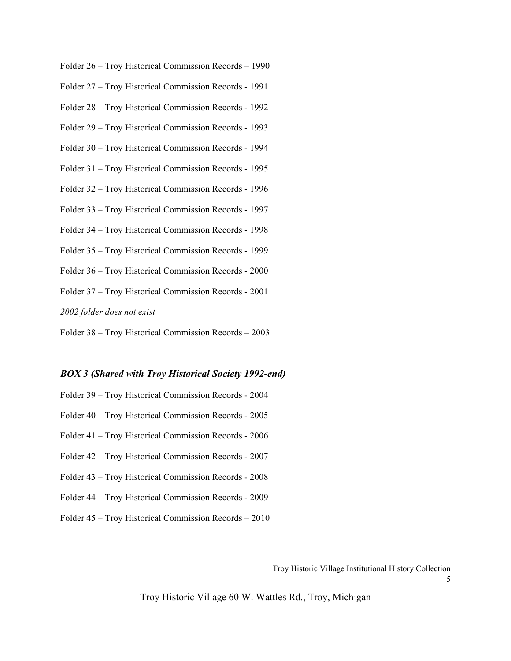- Folder 26 Troy Historical Commission Records 1990
- Folder 27 Troy Historical Commission Records 1991
- Folder 28 Troy Historical Commission Records 1992
- Folder 29 Troy Historical Commission Records 1993
- Folder 30 Troy Historical Commission Records 1994
- Folder 31 Troy Historical Commission Records 1995
- Folder 32 Troy Historical Commission Records 1996
- Folder 33 Troy Historical Commission Records 1997
- Folder 34 Troy Historical Commission Records 1998
- Folder 35 Troy Historical Commission Records 1999
- Folder 36 Troy Historical Commission Records 2000
- Folder 37 Troy Historical Commission Records 2001
- *2002 folder does not exist*
- Folder 38 Troy Historical Commission Records 2003

#### *BOX 3 (Shared with Troy Historical Society 1992-end)*

- Folder 39 Troy Historical Commission Records 2004
- Folder 40 Troy Historical Commission Records 2005
- Folder 41 Troy Historical Commission Records 2006
- Folder 42 Troy Historical Commission Records 2007
- Folder 43 Troy Historical Commission Records 2008
- Folder 44 Troy Historical Commission Records 2009
- Folder 45 Troy Historical Commission Records 2010

Troy Historic Village Institutional History Collection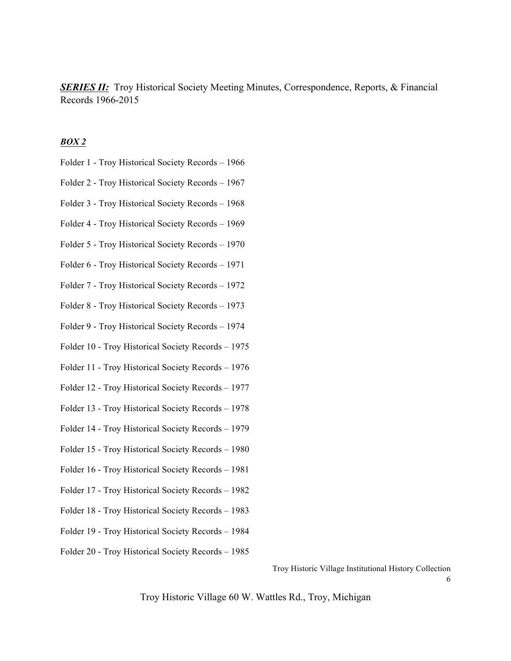*SERIES II:* Troy Historical Society Meeting Minutes, Correspondence, Reports, & Financial Records 1966-2015

## *BOX 2*

- Folder 1 Troy Historical Society Records 1966
- Folder 2 Troy Historical Society Records 1967
- Folder 3 Troy Historical Society Records 1968
- Folder 4 Troy Historical Society Records 1969
- Folder 5 Troy Historical Society Records 1970
- Folder 6 Troy Historical Society Records 1971
- Folder 7 Troy Historical Society Records 1972
- Folder 8 Troy Historical Society Records 1973
- Folder 9 Troy Historical Society Records 1974
- Folder 10 Troy Historical Society Records 1975
- Folder 11 Troy Historical Society Records 1976
- Folder 12 Troy Historical Society Records 1977
- Folder 13 Troy Historical Society Records 1978
- Folder 14 Troy Historical Society Records 1979
- Folder 15 Troy Historical Society Records 1980
- Folder 16 Troy Historical Society Records 1981
- Folder 17 Troy Historical Society Records 1982
- Folder 18 Troy Historical Society Records 1983
- Folder 19 Troy Historical Society Records 1984
- Folder 20 Troy Historical Society Records 1985

Troy Historic Village Institutional History Collection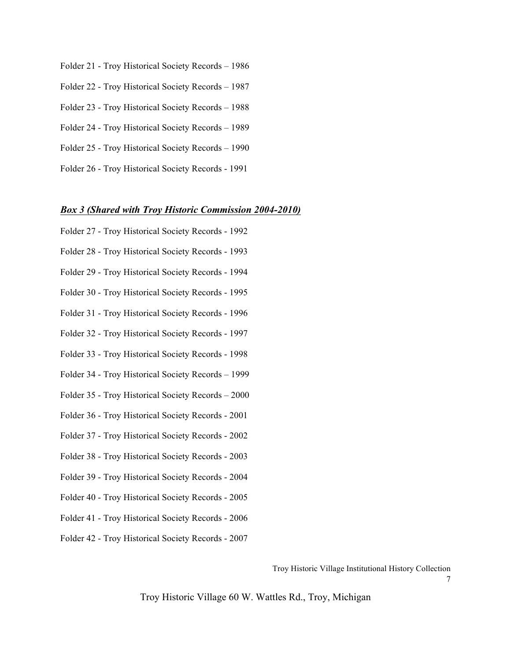- Folder 21 Troy Historical Society Records 1986
- Folder 22 Troy Historical Society Records 1987
- Folder 23 Troy Historical Society Records 1988
- Folder 24 Troy Historical Society Records 1989
- Folder 25 Troy Historical Society Records 1990
- Folder 26 Troy Historical Society Records 1991

### *Box 3 (Shared with Troy Historic Commission 2004-2010)*

- Folder 27 Troy Historical Society Records 1992
- Folder 28 Troy Historical Society Records 1993
- Folder 29 Troy Historical Society Records 1994
- Folder 30 Troy Historical Society Records 1995
- Folder 31 Troy Historical Society Records 1996
- Folder 32 Troy Historical Society Records 1997
- Folder 33 Troy Historical Society Records 1998
- Folder 34 Troy Historical Society Records 1999
- Folder 35 Troy Historical Society Records 2000
- Folder 36 Troy Historical Society Records 2001
- Folder 37 Troy Historical Society Records 2002
- Folder 38 Troy Historical Society Records 2003
- Folder 39 Troy Historical Society Records 2004
- Folder 40 Troy Historical Society Records 2005
- Folder 41 Troy Historical Society Records 2006
- Folder 42 Troy Historical Society Records 2007

Troy Historic Village Institutional History Collection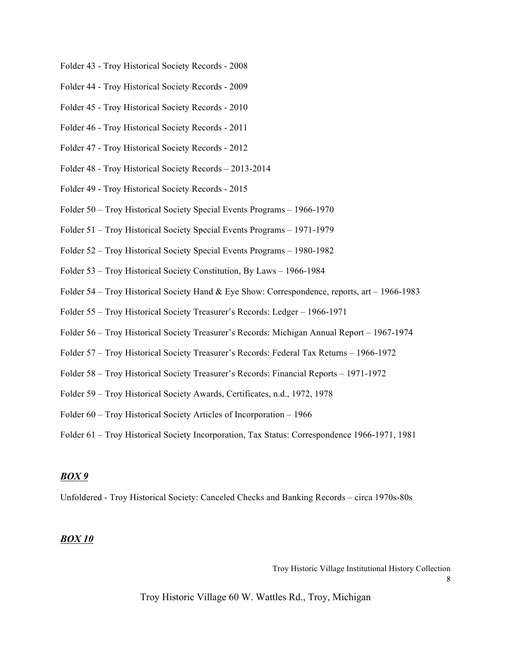- Folder 43 Troy Historical Society Records 2008
- Folder 44 Troy Historical Society Records 2009
- Folder 45 Troy Historical Society Records 2010
- Folder 46 Troy Historical Society Records 2011
- Folder 47 Troy Historical Society Records 2012
- Folder 48 Troy Historical Society Records 2013-2014
- Folder 49 Troy Historical Society Records 2015
- Folder 50 Troy Historical Society Special Events Programs 1966-1970
- Folder 51 Troy Historical Society Special Events Programs 1971-1979
- Folder 52 Troy Historical Society Special Events Programs 1980-1982
- Folder 53 Troy Historical Society Constitution, By Laws 1966-1984
- Folder 54 Troy Historical Society Hand & Eye Show: Correspondence, reports, art 1966-1983
- Folder 55 Troy Historical Society Treasurer's Records: Ledger 1966-1971
- Folder 56 Troy Historical Society Treasurer's Records: Michigan Annual Report 1967-1974
- Folder 57 Troy Historical Society Treasurer's Records: Federal Tax Returns 1966-1972
- Folder 58 Troy Historical Society Treasurer's Records: Financial Reports 1971-1972
- Folder 59 Troy Historical Society Awards, Certificates, n.d., 1972, 1978
- Folder 60 Troy Historical Society Articles of Incorporation 1966
- Folder 61 Troy Historical Society Incorporation, Tax Status: Correspondence 1966-1971, 1981

#### *BOX 9*

Unfoldered - Troy Historical Society: Canceled Checks and Banking Records – circa 1970s-80s

### *BOX 10*

Troy Historic Village Institutional History Collection

8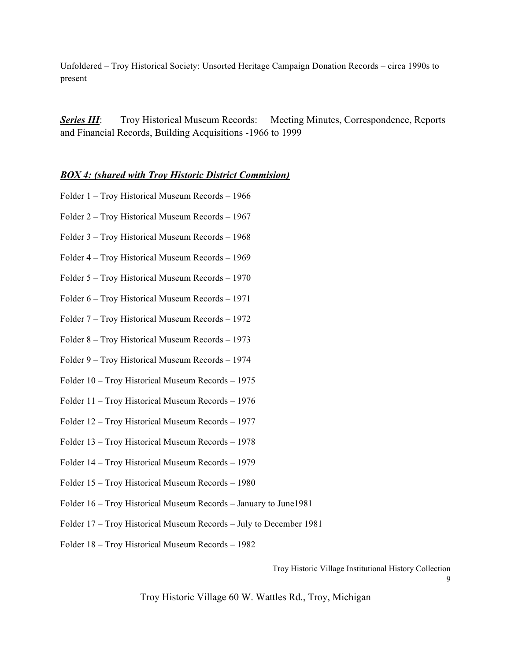Unfoldered – Troy Historical Society: Unsorted Heritage Campaign Donation Records – circa 1990s to present

**Series III:** Troy Historical Museum Records: Meeting Minutes, Correspondence, Reports and Financial Records, Building Acquisitions -1966 to 1999

## *BOX 4: (shared with Troy Historic District Commision)*

- Folder 1 Troy Historical Museum Records 1966
- Folder 2 Troy Historical Museum Records 1967
- Folder 3 Troy Historical Museum Records 1968
- Folder 4 Troy Historical Museum Records 1969
- Folder 5 Troy Historical Museum Records 1970
- Folder 6 Troy Historical Museum Records 1971
- Folder 7 Troy Historical Museum Records 1972
- Folder 8 Troy Historical Museum Records 1973
- Folder 9 Troy Historical Museum Records 1974
- Folder 10 Troy Historical Museum Records 1975
- Folder 11 Troy Historical Museum Records 1976
- Folder 12 Troy Historical Museum Records 1977
- Folder 13 Troy Historical Museum Records 1978
- Folder 14 Troy Historical Museum Records 1979
- Folder 15 Troy Historical Museum Records 1980
- Folder 16 Troy Historical Museum Records January to June1981
- Folder 17 Troy Historical Museum Records July to December 1981
- Folder 18 Troy Historical Museum Records 1982

Troy Historic Village Institutional History Collection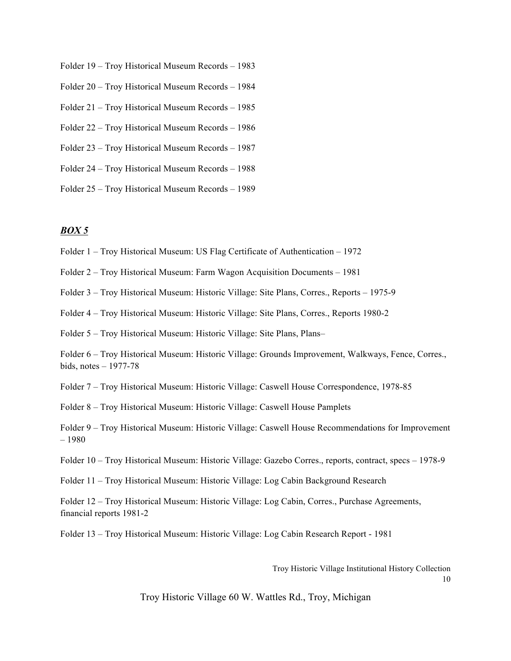- Folder 19 Troy Historical Museum Records 1983
- Folder 20 Troy Historical Museum Records 1984
- Folder 21 Troy Historical Museum Records 1985
- Folder 22 Troy Historical Museum Records 1986
- Folder 23 Troy Historical Museum Records 1987
- Folder 24 Troy Historical Museum Records 1988
- Folder 25 Troy Historical Museum Records 1989

## *BOX 5*

- Folder 1 Troy Historical Museum: US Flag Certificate of Authentication 1972
- Folder 2 Troy Historical Museum: Farm Wagon Acquisition Documents 1981
- Folder 3 Troy Historical Museum: Historic Village: Site Plans, Corres., Reports 1975-9
- Folder 4 Troy Historical Museum: Historic Village: Site Plans, Corres., Reports 1980-2
- Folder 5 Troy Historical Museum: Historic Village: Site Plans, Plans–

Folder 6 – Troy Historical Museum: Historic Village: Grounds Improvement, Walkways, Fence, Corres., bids, notes – 1977-78

Folder 7 – Troy Historical Museum: Historic Village: Caswell House Correspondence, 1978-85

- Folder 8 Troy Historical Museum: Historic Village: Caswell House Pamplets
- Folder 9 Troy Historical Museum: Historic Village: Caswell House Recommendations for Improvement – 1980
- Folder 10 Troy Historical Museum: Historic Village: Gazebo Corres., reports, contract, specs 1978-9
- Folder 11 Troy Historical Museum: Historic Village: Log Cabin Background Research

Folder 12 – Troy Historical Museum: Historic Village: Log Cabin, Corres., Purchase Agreements, financial reports 1981-2

Folder 13 – Troy Historical Museum: Historic Village: Log Cabin Research Report - 1981

Troy Historic Village Institutional History Collection

10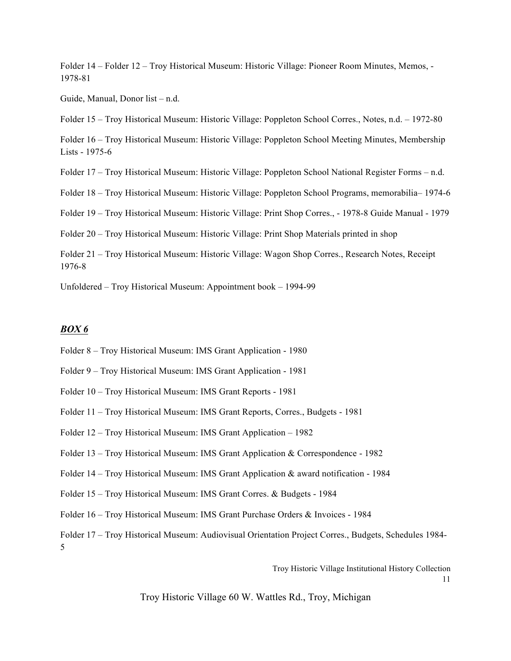Folder 14 – Folder 12 – Troy Historical Museum: Historic Village: Pioneer Room Minutes, Memos, - 1978-81

Guide, Manual, Donor list – n.d.

Folder 15 – Troy Historical Museum: Historic Village: Poppleton School Corres., Notes, n.d. – 1972-80

Folder 16 – Troy Historical Museum: Historic Village: Poppleton School Meeting Minutes, Membership Lists - 1975-6

Folder 17 – Troy Historical Museum: Historic Village: Poppleton School National Register Forms – n.d.

Folder 18 – Troy Historical Museum: Historic Village: Poppleton School Programs, memorabilia– 1974-6

Folder 19 – Troy Historical Museum: Historic Village: Print Shop Corres., - 1978-8 Guide Manual - 1979

Folder 20 – Troy Historical Museum: Historic Village: Print Shop Materials printed in shop

Folder 21 – Troy Historical Museum: Historic Village: Wagon Shop Corres., Research Notes, Receipt 1976-8

Unfoldered – Troy Historical Museum: Appointment book – 1994-99

#### *BOX 6*

- Folder 8 Troy Historical Museum: IMS Grant Application 1980
- Folder 9 Troy Historical Museum: IMS Grant Application 1981
- Folder 10 Troy Historical Museum: IMS Grant Reports 1981
- Folder 11 Troy Historical Museum: IMS Grant Reports, Corres., Budgets 1981
- Folder 12 Troy Historical Museum: IMS Grant Application 1982
- Folder 13 Troy Historical Museum: IMS Grant Application & Correspondence 1982
- Folder 14 Troy Historical Museum: IMS Grant Application & award notification 1984
- Folder 15 Troy Historical Museum: IMS Grant Corres. & Budgets 1984
- Folder 16 Troy Historical Museum: IMS Grant Purchase Orders & Invoices 1984

Folder 17 – Troy Historical Museum: Audiovisual Orientation Project Corres., Budgets, Schedules 1984- 5

Troy Historic Village Institutional History Collection

11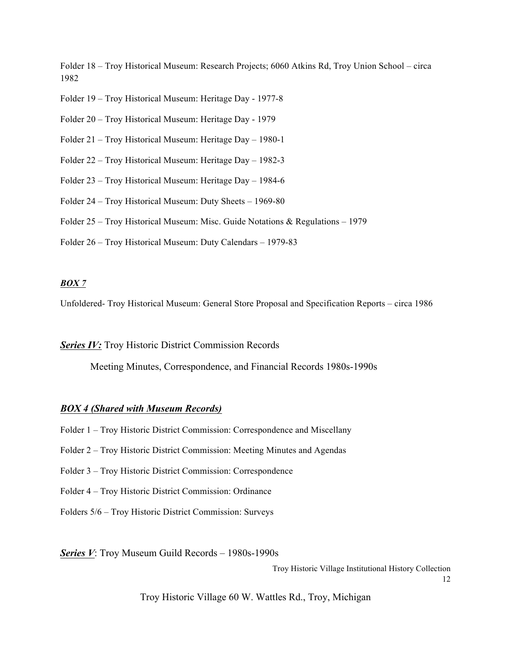Folder 18 – Troy Historical Museum: Research Projects; 6060 Atkins Rd, Troy Union School – circa 1982

Folder 19 – Troy Historical Museum: Heritage Day - 1977-8

Folder 20 – Troy Historical Museum: Heritage Day - 1979

Folder 21 – Troy Historical Museum: Heritage Day – 1980-1

Folder 22 – Troy Historical Museum: Heritage Day – 1982-3

Folder 23 – Troy Historical Museum: Heritage Day – 1984-6

Folder 24 – Troy Historical Museum: Duty Sheets – 1969-80

Folder 25 – Troy Historical Museum: Misc. Guide Notations & Regulations – 1979

Folder 26 – Troy Historical Museum: Duty Calendars – 1979-83

## *BOX 7*

Unfoldered- Troy Historical Museum: General Store Proposal and Specification Reports – circa 1986

*Series IV:* Troy Historic District Commission Records

Meeting Minutes, Correspondence, and Financial Records 1980s-1990s

## *BOX 4 (Shared with Museum Records)*

- Folder 1 Troy Historic District Commission: Correspondence and Miscellany
- Folder 2 Troy Historic District Commission: Meeting Minutes and Agendas
- Folder 3 Troy Historic District Commission: Correspondence
- Folder 4 Troy Historic District Commission: Ordinance
- Folders 5/6 Troy Historic District Commission: Surveys

*Series V*: Troy Museum Guild Records – 1980s-1990s

Troy Historic Village Institutional History Collection